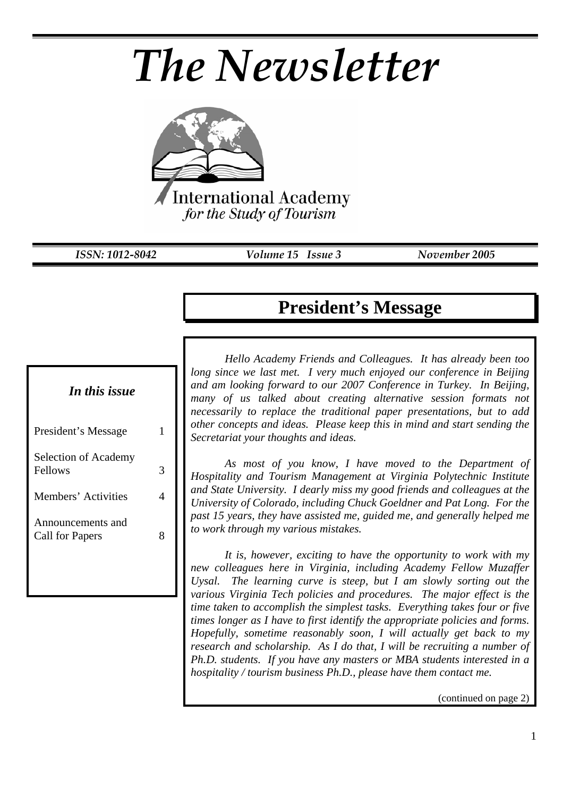# *The Newsletter*



*ISSN: 1012-8042 Volume 15 Issue 3 November 2005* 

# **President's Message**

*In this issue* 

| President's Message                  |  |
|--------------------------------------|--|
| Selection of Academy<br>Fellows      |  |
| Members' Activities                  |  |
| Announcements and<br>Call for Papers |  |

*Hello Academy Friends and Colleagues. It has already been too long since we last met. I very much enjoyed our conference in Beijing and am looking forward to our 2007 Conference in Turkey. In Beijing, many of us talked about creating alternative session formats not necessarily to replace the traditional paper presentations, but to add other concepts and ideas. Please keep this in mind and start sending the Secretariat your thoughts and ideas.* 

*As most of you know, I have moved to the Department of Hospitality and Tourism Management at Virginia Polytechnic Institute and State University. I dearly miss my good friends and colleagues at the University of Colorado, including Chuck Goeldner and Pat Long. For the past 15 years, they have assisted me, guided me, and generally helped me to work through my various mistakes.* 

*It is, however, exciting to have the opportunity to work with my new colleagues here in Virginia, including Academy Fellow Muzaffer Uysal. The learning curve is steep, but I am slowly sorting out the various Virginia Tech policies and procedures. The major effect is the time taken to accomplish the simplest tasks. Everything takes four or five times longer as I have to first identify the appropriate policies and forms. Hopefully, sometime reasonably soon, I will actually get back to my research and scholarship. As I do that, I will be recruiting a number of Ph.D. students. If you have any masters or MBA students interested in a hospitality / tourism business Ph.D., please have them contact me.* 

(continued on page 2)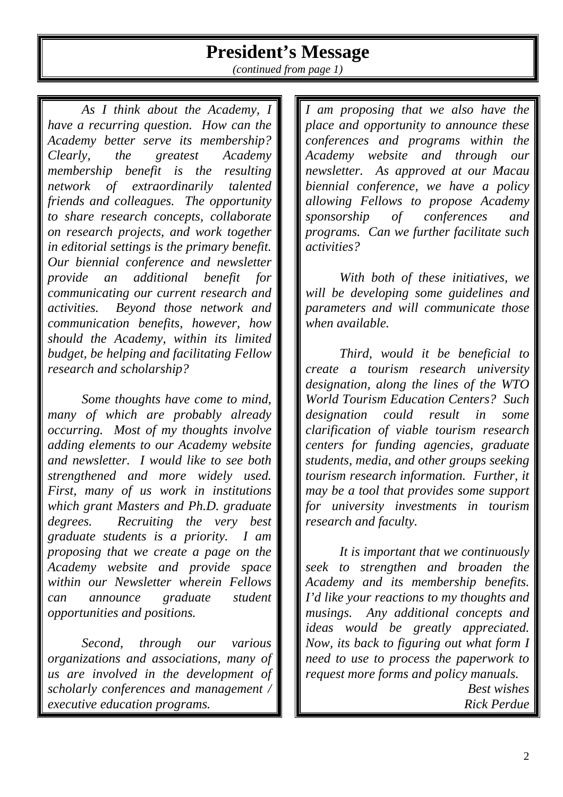# **President's Message**

*(continued from page 1)* 

*As I think about the Academy, I have a recurring question. How can the Academy better serve its membership? Clearly, the greatest Academy membership benefit is the resulting network of extraordinarily talented friends and colleagues. The opportunity to share research concepts, collaborate on research projects, and work together in editorial settings is the primary benefit. Our biennial conference and newsletter provide an additional benefit for communicating our current research and activities. Beyond those network and communication benefits, however, how should the Academy, within its limited budget, be helping and facilitating Fellow research and scholarship?* 

*Some thoughts have come to mind, many of which are probably already occurring. Most of my thoughts involve adding elements to our Academy website and newsletter. I would like to see both strengthened and more widely used. First, many of us work in institutions which grant Masters and Ph.D. graduate degrees. Recruiting the very best graduate students is a priority. I am proposing that we create a page on the Academy website and provide space within our Newsletter wherein Fellows can announce graduate student opportunities and positions.* 

*Second, through our various organizations and associations, many of us are involved in the development of scholarly conferences and management / executive education programs.* 

*I am proposing that we also have the place and opportunity to announce these conferences and programs within the Academy website and through our newsletter. As approved at our Macau biennial conference, we have a policy allowing Fellows to propose Academy sponsorship of conferences and programs. Can we further facilitate such activities?* 

*With both of these initiatives, we will be developing some guidelines and parameters and will communicate those when available.* 

*Third, would it be beneficial to create a tourism research university designation, along the lines of the WTO World Tourism Education Centers? Such designation could result in some clarification of viable tourism research centers for funding agencies, graduate students, media, and other groups seeking tourism research information. Further, it may be a tool that provides some support for university investments in tourism research and faculty.* 

*It is important that we continuously seek to strengthen and broaden the Academy and its membership benefits. I'd like your reactions to my thoughts and musings. Any additional concepts and ideas would be greatly appreciated. Now, its back to figuring out what form I need to use to process the paperwork to request more forms and policy manuals. Best wishes* 

*Rick Perdue*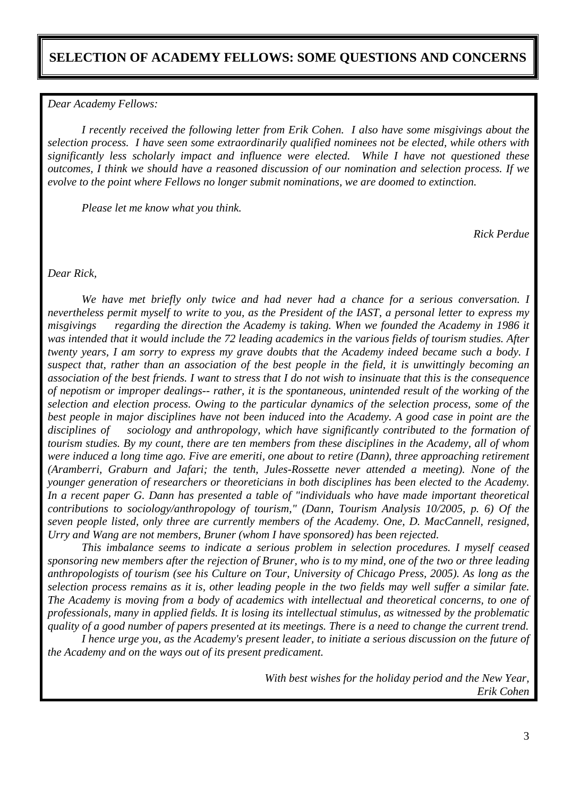## **SELECTION OF ACADEMY FELLOWS: SOME QUESTIONS AND CONCERNS**

#### *Dear Academy Fellows:*

*I recently received the following letter from Erik Cohen. I also have some misgivings about the selection process. I have seen some extraordinarily qualified nominees not be elected, while others with significantly less scholarly impact and influence were elected. While I have not questioned these outcomes, I think we should have a reasoned discussion of our nomination and selection process. If we evolve to the point where Fellows no longer submit nominations, we are doomed to extinction.* 

*Please let me know what you think.* 

*Rick Perdue* 

*Dear Rick,* 

*We have met briefly only twice and had never had a chance for a serious conversation. I nevertheless permit myself to write to you, as the President of the IAST, a personal letter to express my misgivings regarding the direction the Academy is taking. When we founded the Academy in 1986 it was intended that it would include the 72 leading academics in the various fields of tourism studies. After twenty years, I am sorry to express my grave doubts that the Academy indeed became such a body. I suspect that, rather than an association of the best people in the field, it is unwittingly becoming an association of the best friends. I want to stress that I do not wish to insinuate that this is the consequence of nepotism or improper dealings-- rather, it is the spontaneous, unintended result of the working of the selection and election process. Owing to the particular dynamics of the selection process, some of the best people in major disciplines have not been induced into the Academy. A good case in point are the disciplines of sociology and anthropology, which have significantly contributed to the formation of tourism studies. By my count, there are ten members from these disciplines in the Academy, all of whom were induced a long time ago. Five are emeriti, one about to retire (Dann), three approaching retirement (Aramberri, Graburn and Jafari; the tenth, Jules-Rossette never attended a meeting). None of the younger generation of researchers or theoreticians in both disciplines has been elected to the Academy. In a recent paper G. Dann has presented a table of "individuals who have made important theoretical contributions to sociology/anthropology of tourism," (Dann, Tourism Analysis 10/2005, p. 6) Of the seven people listed, only three are currently members of the Academy. One, D. MacCannell, resigned, Urry and Wang are not members, Bruner (whom I have sponsored) has been rejected.* 

*This imbalance seems to indicate a serious problem in selection procedures. I myself ceased sponsoring new members after the rejection of Bruner, who is to my mind, one of the two or three leading anthropologists of tourism (see his Culture on Tour, University of Chicago Press, 2005). As long as the selection process remains as it is, other leading people in the two fields may well suffer a similar fate. The Academy is moving from a body of academics with intellectual and theoretical concerns, to one of professionals, many in applied fields. It is losing its intellectual stimulus, as witnessed by the problematic quality of a good number of papers presented at its meetings. There is a need to change the current trend.* 

*I hence urge you, as the Academy's present leader, to initiate a serious discussion on the future of the Academy and on the ways out of its present predicament.* 

> *With best wishes for the holiday period and the New Year, Erik Cohen*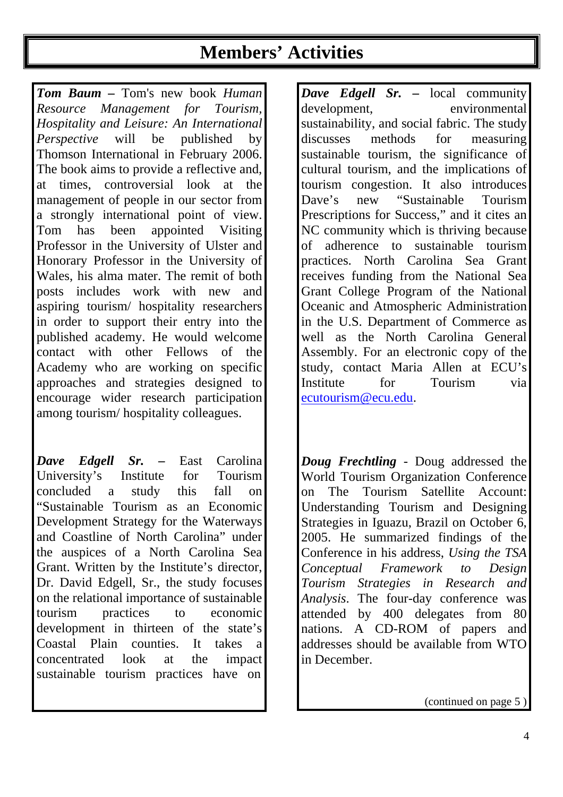# **Members' Activities**

*Tom Baum –* Tom's new book *Human Resource Management for Tourism, Hospitality and Leisure: An International Perspective* will be published by Thomson International in February 2006. The book aims to provide a reflective and, at times, controversial look at the management of people in our sector from a strongly international point of view. Tom has been appointed Visiting Professor in the University of Ulster and Honorary Professor in the University of Wales, his alma mater. The remit of both posts includes work with new and aspiring tourism/ hospitality researchers in order to support their entry into the published academy. He would welcome contact with other Fellows of the Academy who are working on specific approaches and strategies designed to encourage wider research participation among tourism/ hospitality colleagues.

*Dave Edgell Sr. –* East Carolina University's Institute for Tourism concluded a study this fall on "Sustainable Tourism as an Economic Development Strategy for the Waterways and Coastline of North Carolina" under the auspices of a North Carolina Sea Grant. Written by the Institute's director, Dr. David Edgell, Sr., the study focuses on the relational importance of sustainable tourism practices to economic development in thirteen of the state's Coastal Plain counties. It takes a concentrated look at the impact sustainable tourism practices have on *Dave Edgell Sr. –* local community development, environmental sustainability, and social fabric. The study discusses methods for measuring sustainable tourism, the significance of cultural tourism, and the implications of tourism congestion. It also introduces Dave's new "Sustainable Tourism Prescriptions for Success," and it cites an NC community which is thriving because of adherence to sustainable tourism practices. North Carolina Sea Grant receives funding from the National Sea Grant College Program of the National Oceanic and Atmospheric Administration in the U.S. Department of Commerce as well as the North Carolina General Assembly. For an electronic copy of the study, contact Maria Allen at ECU's Institute for Tourism via ecutourism@ecu.edu.

*Doug Frechtling* - Doug addressed the World Tourism Organization Conference on The Tourism Satellite Account: Understanding Tourism and Designing Strategies in Iguazu, Brazil on October 6, 2005. He summarized findings of the Conference in his address, *Using the TSA Conceptual Framework to Design Tourism Strategies in Research and Analysis*. The four-day conference was attended by 400 delegates from 80 nations. A CD-ROM of papers and addresses should be available from WTO in December.

(continued on page 5 )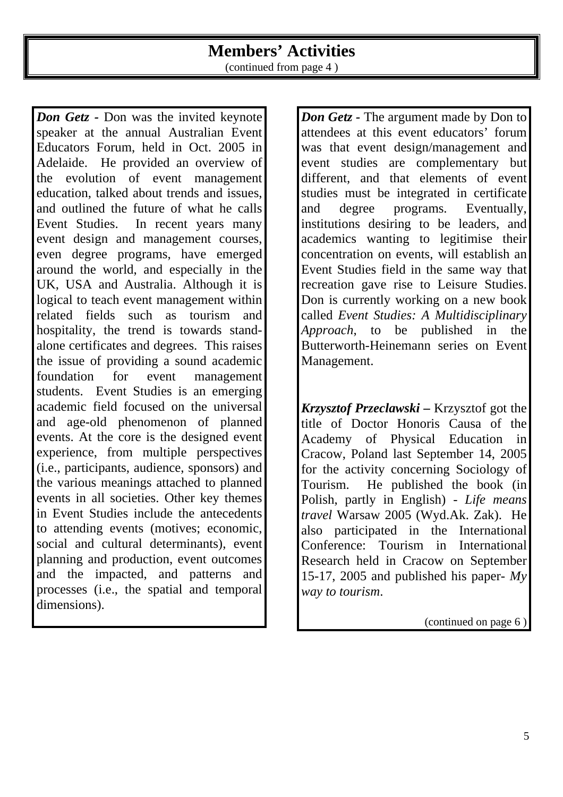# **Members' Activities**

(continued from page 4 )

*Don Getz -* Don was the invited keynote speaker at the annual Australian Event Educators Forum, held in Oct. 2005 in Adelaide. He provided an overview of the evolution of event management education, talked about trends and issues, and outlined the future of what he calls Event Studies. In recent years many event design and management courses, even degree programs, have emerged around the world, and especially in the UK, USA and Australia. Although it is logical to teach event management within related fields such as tourism and hospitality, the trend is towards standalone certificates and degrees. This raises the issue of providing a sound academic foundation for event management students. Event Studies is an emerging academic field focused on the universal and age-old phenomenon of planned events. At the core is the designed event experience, from multiple perspectives (i.e., participants, audience, sponsors) and the various meanings attached to planned events in all societies. Other key themes in Event Studies include the antecedents to attending events (motives; economic, social and cultural determinants), event planning and production, event outcomes and the impacted, and patterns and processes (i.e., the spatial and temporal dimensions).

*Don Getz -* The argument made by Don to attendees at this event educators' forum was that event design/management and event studies are complementary but different, and that elements of event studies must be integrated in certificate and degree programs. Eventually, institutions desiring to be leaders, and academics wanting to legitimise their concentration on events, will establish an Event Studies field in the same way that recreation gave rise to Leisure Studies. Don is currently working on a new book called *Event Studies: A Multidisciplinary Approach*, to be published in the Butterworth-Heinemann series on Event Management.

*Krzysztof Przeclawski –* Krzysztof got the title of Doctor Honoris Causa of the Academy of Physical Education in Cracow, Poland last September 14, 2005 for the activity concerning Sociology of Tourism. He published the book (in Polish, partly in English) - *Life means travel* Warsaw 2005 (Wyd.Ak. Zak). He also participated in the International Conference: Tourism in International Research held in Cracow on September 15-17, 2005 and published his paper- *My way to tourism*.

(continued on page 6 )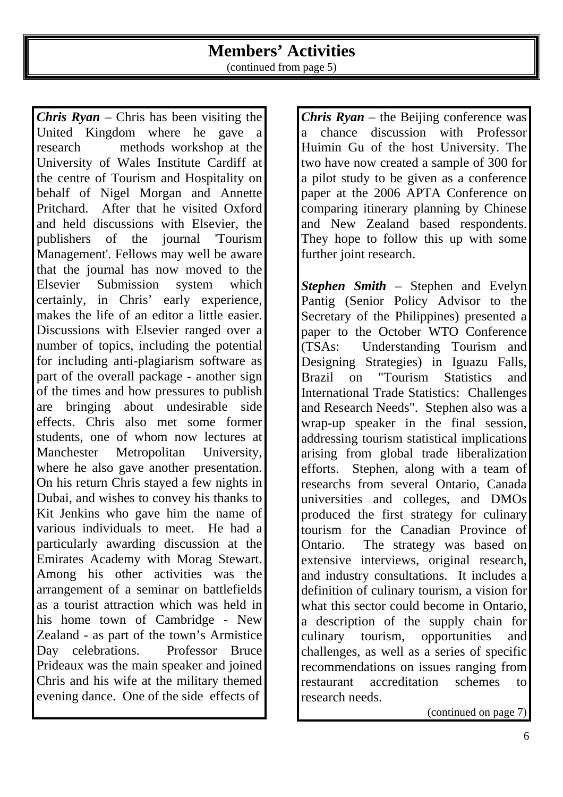# **Members' Activities**

(continued from page 5)

*Chris Ryan* – Chris has been visiting the United Kingdom where he gave a research methods workshop at the University of Wales Institute Cardiff at the centre of Tourism and Hospitality on behalf of Nigel Morgan and Annette Pritchard. After that he visited Oxford and held discussions with Elsevier, the publishers of the journal 'Tourism Management'. Fellows may well be aware that the journal has now moved to the Elsevier Submission system which certainly, in Chris' early experience, makes the life of an editor a little easier. Discussions with Elsevier ranged over a number of topics, including the potential for including anti-plagiarism software as part of the overall package - another sign of the times and how pressures to publish are bringing about undesirable side effects. Chris also met some former students, one of whom now lectures at Manchester Metropolitan University, where he also gave another presentation. On his return Chris stayed a few nights in Dubai, and wishes to convey his thanks to Kit Jenkins who gave him the name of various individuals to meet. He had a particularly awarding discussion at the Emirates Academy with Morag Stewart. Among his other activities was the arrangement of a seminar on battlefields as a tourist attraction which was held in his home town of Cambridge - New Zealand - as part of the town's Armistice Day celebrations. Professor Bruce Prideaux was the main speaker and joined Chris and his wife at the military themed evening dance. One of the side effects of

*Chris Ryan* – the Beijing conference was a chance discussion with Professor Huimin Gu of the host University. The two have now created a sample of 300 for a pilot study to be given as a conference paper at the 2006 APTA Conference on comparing itinerary planning by Chinese and New Zealand based respondents. They hope to follow this up with some further joint research.

*Stephen Smith* – Stephen and Evelyn Pantig (Senior Policy Advisor to the Secretary of the Philippines) presented a paper to the October WTO Conference (TSAs: Understanding Tourism and Designing Strategies) in Iguazu Falls, Brazil on "Tourism Statistics and International Trade Statistics: Challenges and Research Needs". Stephen also was a wrap-up speaker in the final session, addressing tourism statistical implications arising from global trade liberalization efforts. Stephen, along with a team of researchs from several Ontario, Canada universities and colleges, and DMOs produced the first strategy for culinary tourism for the Canadian Province of Ontario. The strategy was based on extensive interviews, original research, and industry consultations. It includes a definition of culinary tourism, a vision for what this sector could become in Ontario, a description of the supply chain for culinary tourism, opportunities and challenges, as well as a series of specific recommendations on issues ranging from restaurant accreditation schemes to research needs.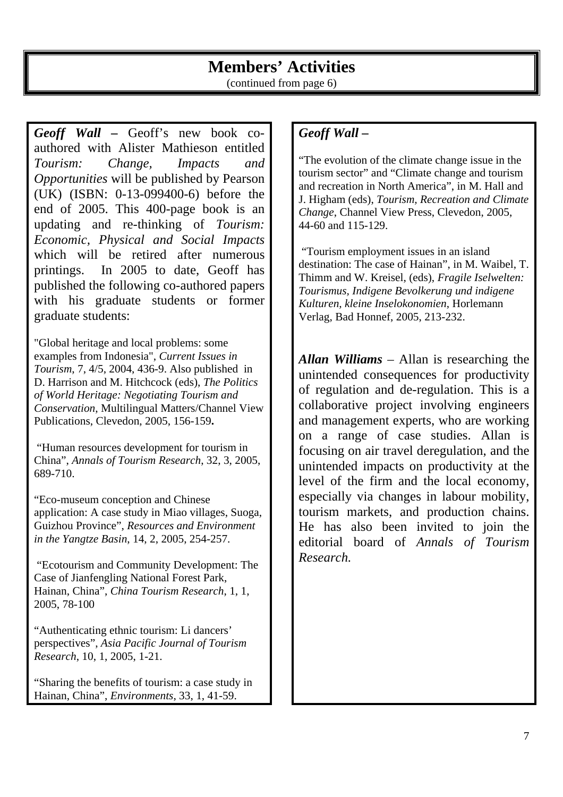## **Members' Activities**  (continued from page 6)

*Geoff Wall –* Geoff's new book coauthored with Alister Mathieson entitled *Tourism: Change, Impacts and Opportunities* will be published by Pearson (UK) (ISBN: 0-13-099400-6) before the end of 2005. This 400-page book is an updating and re-thinking of *Tourism: Economic, Physical and Social Impacts*  which will be retired after numerous printings. In 2005 to date, Geoff has published the following co-authored papers with his graduate students or former graduate students:

"Global heritage and local problems: some examples from Indonesia", *Current Issues in Tourism*, 7, 4/5, 2004, 436-9. Also published in D. Harrison and M. Hitchcock (eds), *The Politics of World Heritage: Negotiating Tourism and Conservation*, Multilingual Matters/Channel View Publications, Clevedon, 2005, 156-159**.**

 "Human resources development for tourism in China", *Annals of Tourism Research*, 32, 3, 2005, 689-710.

"Eco-museum conception and Chinese application: A case study in Miao villages, Suoga, Guizhou Province", *Resources and Environment in the Yangtze Basin*, 14, 2, 2005, 254-257.

 "Ecotourism and Community Development: The Case of Jianfengling National Forest Park, Hainan, China", *China Tourism Research*, 1, 1, 2005, 78-100

"Authenticating ethnic tourism: Li dancers' perspectives", *Asia Pacific Journal of Tourism Research*, 10, 1, 2005, 1-21.

"Sharing the benefits of tourism: a case study in Hainan, China", *Environments*, 33, 1, 41-59.

# *Geoff Wall –*

"The evolution of the climate change issue in the tourism sector" and "Climate change and tourism and recreation in North America", in M. Hall and J. Higham (eds), *Tourism, Recreation and Climate Change*, Channel View Press, Clevedon, 2005, 44-60 and 115-129.

 "Tourism employment issues in an island destination: The case of Hainan", in M. Waibel, T. Thimm and W. Kreisel, (eds), *Fragile Iselwelten: Tourismus, Indigene Bevolkerung und indigene Kulturen, kleine Inselokonomien*, Horlemann Verlag, Bad Honnef, 2005, 213-232.

*Allan Williams* – Allan is researching the unintended consequences for productivity of regulation and de-regulation. This is a collaborative project involving engineers and management experts, who are working on a range of case studies. Allan is focusing on air travel deregulation, and the unintended impacts on productivity at the level of the firm and the local economy, especially via changes in labour mobility, tourism markets, and production chains. He has also been invited to join the editorial board of *Annals of Tourism Research.*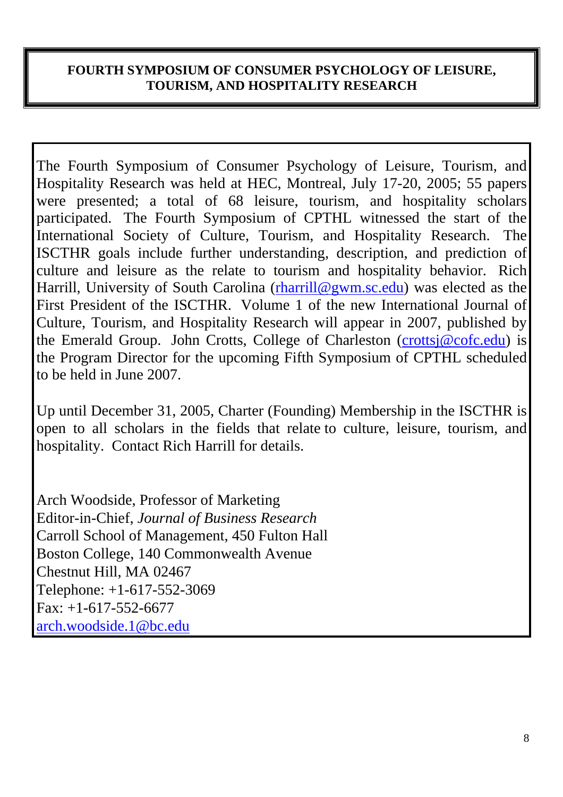# **FOURTH SYMPOSIUM OF CONSUMER PSYCHOLOGY OF LEISURE, TOURISM, AND HOSPITALITY RESEARCH**

The Fourth Symposium of Consumer Psychology of Leisure, Tourism, and Hospitality Research was held at HEC, Montreal, July 17-20, 2005; 55 papers were presented; a total of 68 leisure, tourism, and hospitality scholars participated. The Fourth Symposium of CPTHL witnessed the start of the International Society of Culture, Tourism, and Hospitality Research. The ISCTHR goals include further understanding, description, and prediction of culture and leisure as the relate to tourism and hospitality behavior. Rich Harrill, University of South Carolina (rharrill@gwm.sc.edu) was elected as the First President of the ISCTHR. Volume 1 of the new International Journal of Culture, Tourism, and Hospitality Research will appear in 2007, published by the Emerald Group. John Crotts, College of Charleston (crottsj@cofc.edu) is the Program Director for the upcoming Fifth Symposium of CPTHL scheduled to be held in June 2007.

Up until December 31, 2005, Charter (Founding) Membership in the ISCTHR is open to all scholars in the fields that relate to culture, leisure, tourism, and hospitality. Contact Rich Harrill for details.

Arch Woodside, Professor of Marketing Editor-in-Chief, *Journal of Business Research* Carroll School of Management, 450 Fulton Hall Boston College, 140 Commonwealth Avenue Chestnut Hill, MA 02467 Telephone: +1-617-552-3069  $Fax: +1-617-552-6677$ arch.woodside.1@bc.edu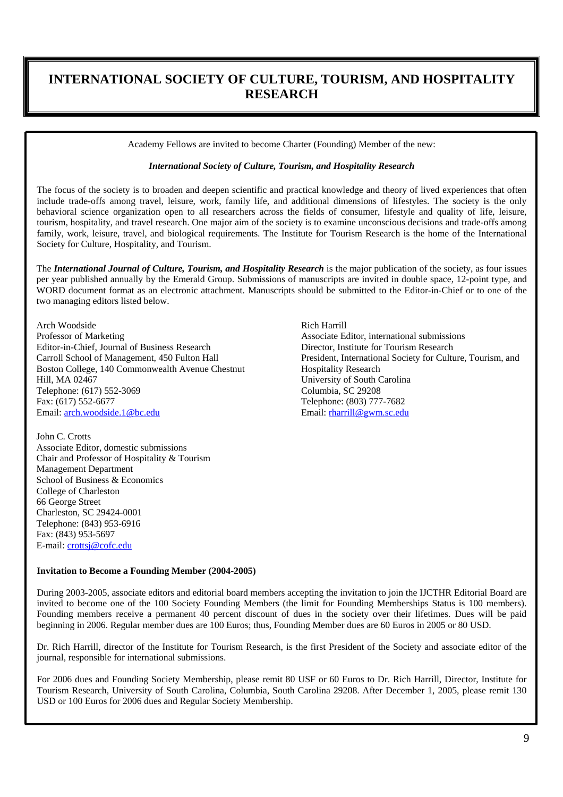## **INTERNATIONAL SOCIETY OF CULTURE, TOURISM, AND HOSPITALITY RESEARCH**

Academy Fellows are invited to become Charter (Founding) Member of the new:

#### *International Society of Culture, Tourism, and Hospitality Research*

The focus of the society is to broaden and deepen scientific and practical knowledge and theory of lived experiences that often include trade-offs among travel, leisure, work, family life, and additional dimensions of lifestyles. The society is the only behavioral science organization open to all researchers across the fields of consumer, lifestyle and quality of life, leisure, tourism, hospitality, and travel research. One major aim of the society is to examine unconscious decisions and trade-offs among family, work, leisure, travel, and biological requirements. The Institute for Tourism Research is the home of the International Society for Culture, Hospitality, and Tourism.

The *International Journal of Culture, Tourism, and Hospitality Research* is the major publication of the society, as four issues per year published annually by the Emerald Group. Submissions of manuscripts are invited in double space, 12-point type, and WORD document format as an electronic attachment. Manuscripts should be submitted to the Editor-in-Chief or to one of the two managing editors listed below.

Arch Woodside Professor of Marketing Editor-in-Chief, Journal of Business Research Carroll School of Management, 450 Fulton Hall Boston College, 140 Commonwealth Avenue Chestnut Hill, MA 02467 Telephone: (617) 552-3069 Fax: (617) 552-6677 Email: arch.woodside.1@bc.edu

John C. Crotts Associate Editor, domestic submissions Chair and Professor of Hospitality & Tourism Management Department School of Business & Economics College of Charleston 66 George Street Charleston, SC 29424-0001 Telephone: (843) 953-6916 Fax: (843) 953-5697 E-mail: crottsj@cofc.edu

Rich Harrill Associate Editor, international submissions Director, Institute for Tourism Research President, International Society for Culture, Tourism, and Hospitality Research University of South Carolina Columbia, SC 29208 Telephone: (803) 777-7682 Email: rharrill@gwm.sc.edu

#### **Invitation to Become a Founding Member (2004-2005)**

During 2003-2005, associate editors and editorial board members accepting the invitation to join the IJCTHR Editorial Board are invited to become one of the 100 Society Founding Members (the limit for Founding Memberships Status is 100 members). Founding members receive a permanent 40 percent discount of dues in the society over their lifetimes. Dues will be paid beginning in 2006. Regular member dues are 100 Euros; thus, Founding Member dues are 60 Euros in 2005 or 80 USD.

Dr. Rich Harrill, director of the Institute for Tourism Research, is the first President of the Society and associate editor of the journal, responsible for international submissions.

For 2006 dues and Founding Society Membership, please remit 80 USF or 60 Euros to Dr. Rich Harrill, Director, Institute for Tourism Research, University of South Carolina, Columbia, South Carolina 29208. After December 1, 2005, please remit 130 USD or 100 Euros for 2006 dues and Regular Society Membership.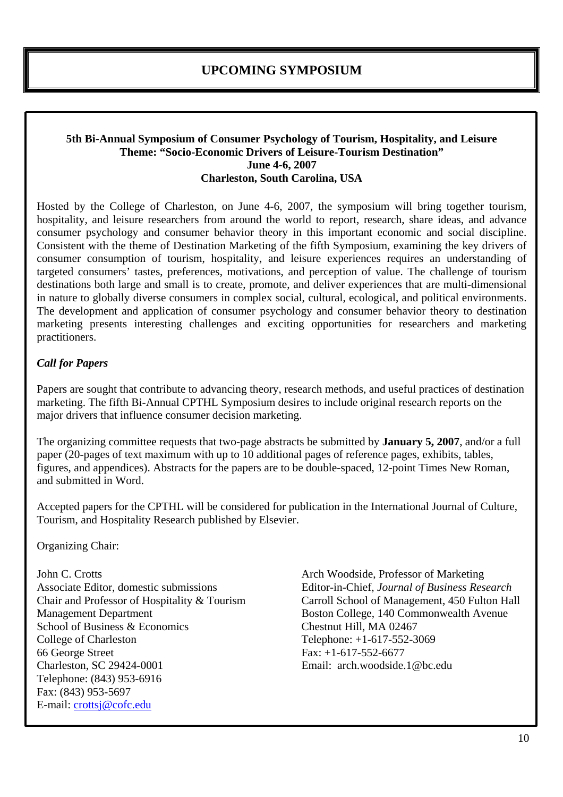## **UPCOMING SYMPOSIUM**

#### **5th Bi-Annual Symposium of Consumer Psychology of Tourism, Hospitality, and Leisure Theme: "Socio-Economic Drivers of Leisure-Tourism Destination" June 4-6, 2007 Charleston, South Carolina, USA**

Hosted by the College of Charleston, on June 4-6, 2007, the symposium will bring together tourism, hospitality, and leisure researchers from around the world to report, research, share ideas, and advance consumer psychology and consumer behavior theory in this important economic and social discipline. Consistent with the theme of Destination Marketing of the fifth Symposium, examining the key drivers of consumer consumption of tourism, hospitality, and leisure experiences requires an understanding of targeted consumers' tastes, preferences, motivations, and perception of value. The challenge of tourism destinations both large and small is to create, promote, and deliver experiences that are multi-dimensional in nature to globally diverse consumers in complex social, cultural, ecological, and political environments. The development and application of consumer psychology and consumer behavior theory to destination marketing presents interesting challenges and exciting opportunities for researchers and marketing practitioners.

## *Call for Papers*

Papers are sought that contribute to advancing theory, research methods, and useful practices of destination marketing. The fifth Bi-Annual CPTHL Symposium desires to include original research reports on the major drivers that influence consumer decision marketing.

The organizing committee requests that two-page abstracts be submitted by **January 5, 2007**, and/or a full paper (20-pages of text maximum with up to 10 additional pages of reference pages, exhibits, tables, figures, and appendices). Abstracts for the papers are to be double-spaced, 12-point Times New Roman, and submitted in Word.

Accepted papers for the CPTHL will be considered for publication in the International Journal of Culture, Tourism, and Hospitality Research published by Elsevier.

Organizing Chair:

John C. Crotts Associate Editor, domestic submissions Chair and Professor of Hospitality & Tourism Management Department School of Business & Economics College of Charleston 66 George Street Charleston, SC 29424-0001 Telephone: (843) 953-6916 Fax: (843) 953-5697 E-mail: crottsj@cofc.edu

Arch Woodside, Professor of Marketing Editor-in-Chief, *Journal of Business Research* Carroll School of Management, 450 Fulton Hall Boston College, 140 Commonwealth Avenue Chestnut Hill, MA 02467 Telephone: +1-617-552-3069  $Fax: +1-617-552-6677$ Email: arch.woodside.1@bc.edu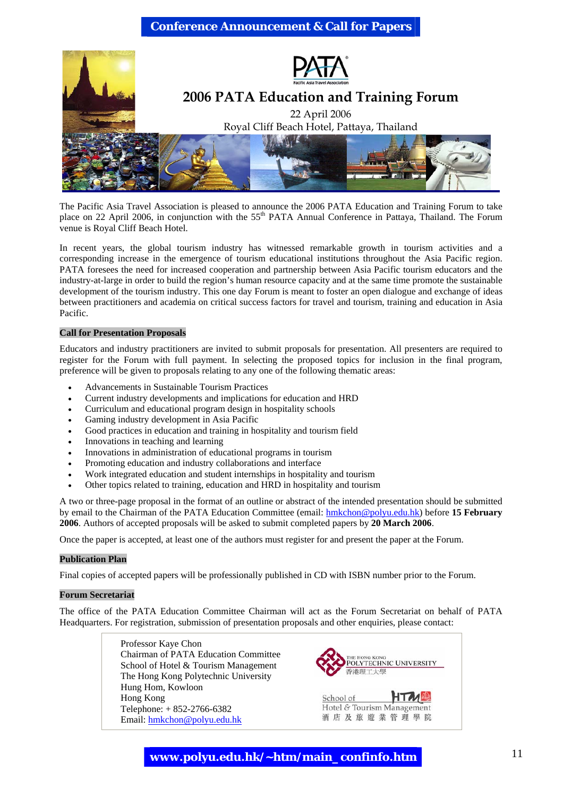#### **Conference Announcement & Call for Papers**



The Pacific Asia Travel Association is pleased to announce the 2006 PATA Education and Training Forum to take place on 22 April 2006, in conjunction with the 55<sup>th</sup> PATA Annual Conference in Pattaya, Thailand. The Forum venue is Royal Cliff Beach Hotel.

In recent years, the global tourism industry has witnessed remarkable growth in tourism activities and a corresponding increase in the emergence of tourism educational institutions throughout the Asia Pacific region. PATA foresees the need for increased cooperation and partnership between Asia Pacific tourism educators and the industry-at-large in order to build the region's human resource capacity and at the same time promote the sustainable development of the tourism industry. This one day Forum is meant to foster an open dialogue and exchange of ideas between practitioners and academia on critical success factors for travel and tourism, training and education in Asia Pacific.

#### **Call for Presentation Proposals**

Educators and industry practitioners are invited to submit proposals for presentation. All presenters are required to register for the Forum with full payment. In selecting the proposed topics for inclusion in the final program, preference will be given to proposals relating to any one of the following thematic areas:

- Advancements in Sustainable Tourism Practices
- Current industry developments and implications for education and HRD
- Curriculum and educational program design in hospitality schools
- Gaming industry development in Asia Pacific
- Good practices in education and training in hospitality and tourism field
- Innovations in teaching and learning
- Innovations in administration of educational programs in tourism
- Promoting education and industry collaborations and interface
- Work integrated education and student internships in hospitality and tourism
- Other topics related to training, education and HRD in hospitality and tourism

A two or three-page proposal in the format of an outline or abstract of the intended presentation should be submitted by email to the Chairman of the PATA Education Committee (email: hmkchon@polyu.edu.hk) before **15 February 2006**. Authors of accepted proposals will be asked to submit completed papers by **20 March 2006**.

Once the paper is accepted, at least one of the authors must register for and present the paper at the Forum.

#### **Publication Plan**

Final copies of accepted papers will be professionally published in CD with ISBN number prior to the Forum.

#### **Forum Secretariat**

The office of the PATA Education Committee Chairman will act as the Forum Secretariat on behalf of PATA Headquarters. For registration, submission of presentation proposals and other enquiries, please contact:

> Professor Kaye Chon Chairman of PATA Education Committee School of Hotel & Tourism Management The Hong Kong Polytechnic University Hung Hom, Kowloon Hong Kong Telephone: + 852-2766-6382 Email: hmkchon@polyu.edu.hk



#### **www.polyu.edu.hk/~htm/main\_confinfo.htm** 11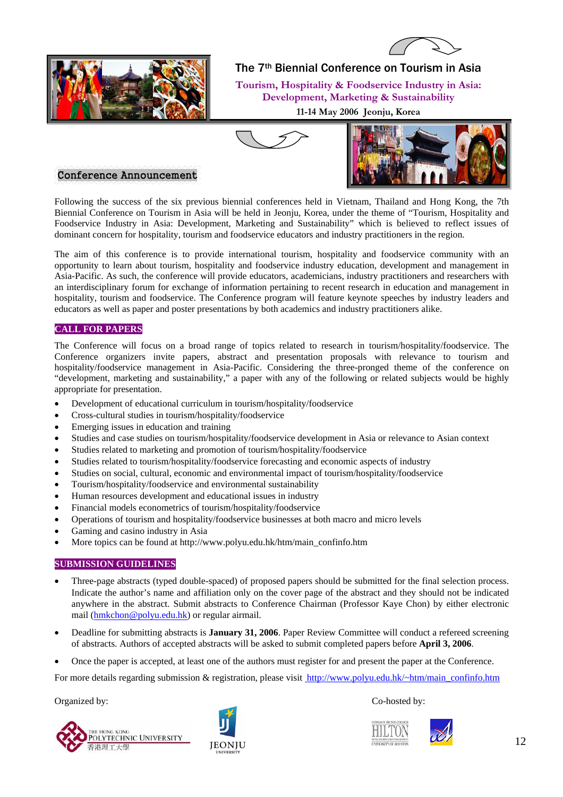



The 7th Biennial Conference on Tourism in Asia

**Tourism, Hospitality & Foodservice Industry in Asia: Development, Marketing & Sustainability 11-14 May 2006 Jeonju, Korea** 





#### Conference Announcement

Following the success of the six previous biennial conferences held in Vietnam, Thailand and Hong Kong, the 7th Biennial Conference on Tourism in Asia will be held in Jeonju, Korea, under the theme of "Tourism, Hospitality and Foodservice Industry in Asia: Development, Marketing and Sustainability" which is believed to reflect issues of dominant concern for hospitality, tourism and foodservice educators and industry practitioners in the region.

The aim of this conference is to provide international tourism, hospitality and foodservice community with an opportunity to learn about tourism, hospitality and foodservice industry education, development and management in Asia-Pacific. As such, the conference will provide educators, academicians, industry practitioners and researchers with an interdisciplinary forum for exchange of information pertaining to recent research in education and management in hospitality, tourism and foodservice. The Conference program will feature keynote speeches by industry leaders and educators as well as paper and poster presentations by both academics and industry practitioners alike.

#### **CALL FOR PAPERS**

The Conference will focus on a broad range of topics related to research in tourism/hospitality/foodservice. The Conference organizers invite papers, abstract and presentation proposals with relevance to tourism and hospitality/foodservice management in Asia-Pacific. Considering the three-pronged theme of the conference on "development, marketing and sustainability," a paper with any of the following or related subjects would be highly appropriate for presentation.

- Development of educational curriculum in tourism/hospitality/foodservice
- Cross-cultural studies in tourism/hospitality/foodservice
- Emerging issues in education and training
- Studies and case studies on tourism/hospitality/foodservice development in Asia or relevance to Asian context
- Studies related to marketing and promotion of tourism/hospitality/foodservice
- Studies related to tourism/hospitality/foodservice forecasting and economic aspects of industry
- Studies on social, cultural, economic and environmental impact of tourism/hospitality/foodservice
- Tourism/hospitality/foodservice and environmental sustainability
- Human resources development and educational issues in industry
- Financial models econometrics of tourism/hospitality/foodservice
- Operations of tourism and hospitality/foodservice businesses at both macro and micro levels
- Gaming and casino industry in Asia
- More topics can be found at http://www.polyu.edu.hk/htm/main\_confinfo.htm

#### **SUBMISSION GUIDELINES**

- Three-page abstracts (typed double-spaced) of proposed papers should be submitted for the final selection process. Indicate the author's name and affiliation only on the cover page of the abstract and they should not be indicated anywhere in the abstract. Submit abstracts to Conference Chairman (Professor Kaye Chon) by either electronic mail (hmkchon@polyu.edu.hk) or regular airmail.
- Deadline for submitting abstracts is **January 31, 2006**. Paper Review Committee will conduct a refereed screening of abstracts. Authors of accepted abstracts will be asked to submit completed papers before **April 3, 2006**.
- Once the paper is accepted, at least one of the authors must register for and present the paper at the Conference.

For more details regarding submission & registration, please visit http://www.polyu.edu.hk/~htm/main\_confinfo.htm

Organized by: Co-hosted by: